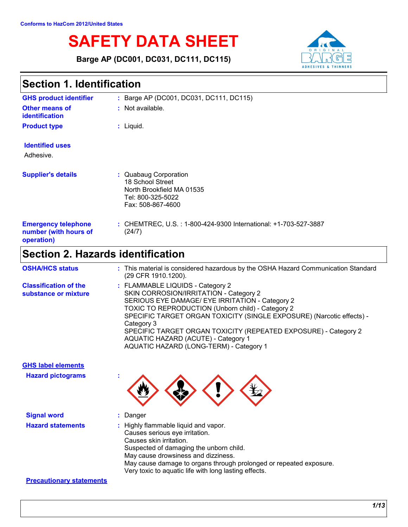# **SAFETY DATA SHEET**

**Barge AP (DC001, DC031, DC111, DC115)**



| <b>Section 1. Identification</b>                                  |                                                                                                                                                                                                                                                                                                                                                                                                                                |  |
|-------------------------------------------------------------------|--------------------------------------------------------------------------------------------------------------------------------------------------------------------------------------------------------------------------------------------------------------------------------------------------------------------------------------------------------------------------------------------------------------------------------|--|
| <b>GHS product identifier</b>                                     | : Barge AP (DC001, DC031, DC111, DC115)                                                                                                                                                                                                                                                                                                                                                                                        |  |
| <b>Other means of</b><br>identification                           | : Not available.                                                                                                                                                                                                                                                                                                                                                                                                               |  |
| <b>Product type</b>                                               | : Liquid.                                                                                                                                                                                                                                                                                                                                                                                                                      |  |
| <b>Identified uses</b><br>Adhesive.                               |                                                                                                                                                                                                                                                                                                                                                                                                                                |  |
| <b>Supplier's details</b>                                         | : Quabaug Corporation<br>18 School Street<br>North Brookfield MA 01535<br>Tel: 800-325-5022<br>Fax: 508-867-4600                                                                                                                                                                                                                                                                                                               |  |
| <b>Emergency telephone</b><br>number (with hours of<br>operation) | : CHEMTREC, U.S. : 1-800-424-9300 International: +1-703-527-3887<br>(24/7)                                                                                                                                                                                                                                                                                                                                                     |  |
| <b>Section 2. Hazards identification</b>                          |                                                                                                                                                                                                                                                                                                                                                                                                                                |  |
| <b>OSHA/HCS status</b>                                            | : This material is considered hazardous by the OSHA Hazard Communication Standard<br>(29 CFR 1910.1200).                                                                                                                                                                                                                                                                                                                       |  |
| <b>Classification of the</b><br>substance or mixture              | : FLAMMABLE LIQUIDS - Category 2<br>SKIN CORROSION/IRRITATION - Category 2<br>SERIOUS EYE DAMAGE/ EYE IRRITATION - Category 2<br>TOXIC TO REPRODUCTION (Unborn child) - Category 2<br>SPECIFIC TARGET ORGAN TOXICITY (SINGLE EXPOSURE) (Narcotic effects) -<br>Category 3<br>SPECIFIC TARGET ORGAN TOXICITY (REPEATED EXPOSURE) - Category 2<br>AQUATIC HAZARD (ACUTE) - Category 1<br>AQUATIC HAZARD (LONG-TERM) - Category 1 |  |
| <b>GHS label elements</b>                                         |                                                                                                                                                                                                                                                                                                                                                                                                                                |  |
| <b>Hazard pictograms</b>                                          |                                                                                                                                                                                                                                                                                                                                                                                                                                |  |

**Signal word :** Danger **Hazard statements :** Highly flammable liquid and vapor. Causes serious eye irritation. Causes skin irritation. Suspected of damaging the unborn child. May cause drowsiness and dizziness. May cause damage to organs through prolonged or repeated exposure. Very toxic to aquatic life with long lasting effects.

#### **Precautionary statements**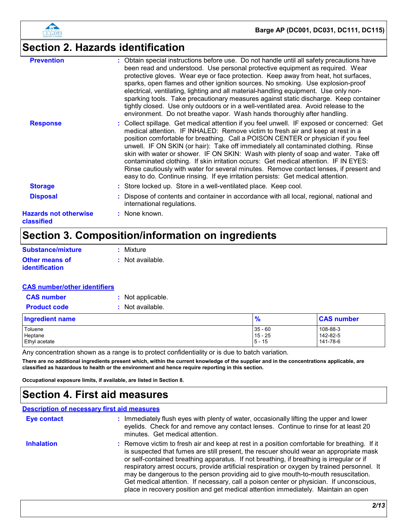

# **Section 2. Hazards identification**

| <b>Prevention</b>                          | : Obtain special instructions before use. Do not handle until all safety precautions have<br>been read and understood. Use personal protective equipment as required. Wear<br>protective gloves. Wear eye or face protection. Keep away from heat, hot surfaces,<br>sparks, open flames and other ignition sources. No smoking. Use explosion-proof<br>electrical, ventilating, lighting and all material-handling equipment. Use only non-<br>sparking tools. Take precautionary measures against static discharge. Keep container<br>tightly closed. Use only outdoors or in a well-ventilated area. Avoid release to the<br>environment. Do not breathe vapor. Wash hands thoroughly after handling.                |
|--------------------------------------------|------------------------------------------------------------------------------------------------------------------------------------------------------------------------------------------------------------------------------------------------------------------------------------------------------------------------------------------------------------------------------------------------------------------------------------------------------------------------------------------------------------------------------------------------------------------------------------------------------------------------------------------------------------------------------------------------------------------------|
| <b>Response</b>                            | : Collect spillage. Get medical attention if you feel unwell. IF exposed or concerned: Get<br>medical attention. IF INHALED: Remove victim to fresh air and keep at rest in a<br>position comfortable for breathing. Call a POISON CENTER or physician if you feel<br>unwell. IF ON SKIN (or hair): Take off immediately all contaminated clothing. Rinse<br>skin with water or shower. IF ON SKIN: Wash with plenty of soap and water. Take off<br>contaminated clothing. If skin irritation occurs: Get medical attention. IF IN EYES:<br>Rinse cautiously with water for several minutes. Remove contact lenses, if present and<br>easy to do. Continue rinsing. If eye irritation persists: Get medical attention. |
| <b>Storage</b>                             | : Store locked up. Store in a well-ventilated place. Keep cool.                                                                                                                                                                                                                                                                                                                                                                                                                                                                                                                                                                                                                                                        |
| <b>Disposal</b>                            | : Dispose of contents and container in accordance with all local, regional, national and<br>international regulations.                                                                                                                                                                                                                                                                                                                                                                                                                                                                                                                                                                                                 |
| <b>Hazards not otherwise</b><br>classified | : None known.                                                                                                                                                                                                                                                                                                                                                                                                                                                                                                                                                                                                                                                                                                          |

# **Section 3. Composition/information on ingredients**

| Substance/mixture     | : Mixture        |
|-----------------------|------------------|
| <b>Other means of</b> | : Not available. |
| <i>identification</i> |                  |

#### **CAS number/other identifiers**

| <b>CAS number</b>   | : Not applicable. |
|---------------------|-------------------|
| <b>Product code</b> | : Not available.  |

| Ingredient name | $\frac{9}{6}$ | <b>CAS number</b> |
|-----------------|---------------|-------------------|
| Toluene         | $35 - 60$     | 108-88-3          |
| Heptane         | $15 - 25$     | 142-82-5          |
| Ethyl acetate   | $5 - 15$      | 141-78-6          |

Any concentration shown as a range is to protect confidentiality or is due to batch variation.

**There are no additional ingredients present which, within the current knowledge of the supplier and in the concentrations applicable, are classified as hazardous to health or the environment and hence require reporting in this section.**

**Occupational exposure limits, if available, are listed in Section 8.**

### **Section 4. First aid measures**

#### **Description of necessary first aid measures**

| Eye contact       | : Immediately flush eyes with plenty of water, occasionally lifting the upper and lower<br>eyelids. Check for and remove any contact lenses. Continue to rinse for at least 20<br>minutes. Get medical attention.                                                                                                                                                                                                                                                                                                                                                                                                                                         |
|-------------------|-----------------------------------------------------------------------------------------------------------------------------------------------------------------------------------------------------------------------------------------------------------------------------------------------------------------------------------------------------------------------------------------------------------------------------------------------------------------------------------------------------------------------------------------------------------------------------------------------------------------------------------------------------------|
| <b>Inhalation</b> | : Remove victim to fresh air and keep at rest in a position comfortable for breathing. If it<br>is suspected that fumes are still present, the rescuer should wear an appropriate mask<br>or self-contained breathing apparatus. If not breathing, if breathing is irregular or if<br>respiratory arrest occurs, provide artificial respiration or oxygen by trained personnel. It<br>may be dangerous to the person providing aid to give mouth-to-mouth resuscitation.<br>Get medical attention. If necessary, call a poison center or physician. If unconscious,<br>place in recovery position and get medical attention immediately. Maintain an open |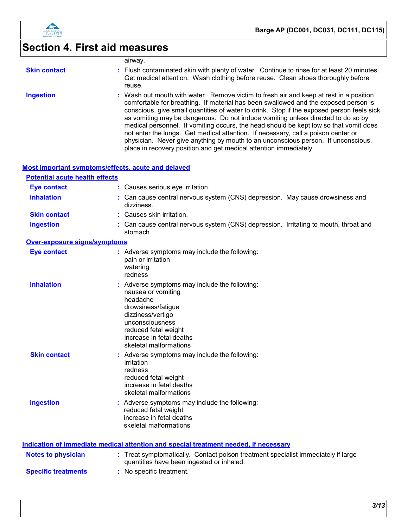

# **Section 4. First aid measures**

|                                       | airway.                                                                                                                                                                                                                                                                                                                                                                                                                                                                                                                                                                                                                                                                                                |
|---------------------------------------|--------------------------------------------------------------------------------------------------------------------------------------------------------------------------------------------------------------------------------------------------------------------------------------------------------------------------------------------------------------------------------------------------------------------------------------------------------------------------------------------------------------------------------------------------------------------------------------------------------------------------------------------------------------------------------------------------------|
| <b>Skin contact</b>                   | : Flush contaminated skin with plenty of water. Continue to rinse for at least 20 minutes.<br>Get medical attention. Wash clothing before reuse. Clean shoes thoroughly before<br>reuse.                                                                                                                                                                                                                                                                                                                                                                                                                                                                                                               |
| <b>Ingestion</b>                      | : Wash out mouth with water. Remove victim to fresh air and keep at rest in a position<br>comfortable for breathing. If material has been swallowed and the exposed person is<br>conscious, give small quantities of water to drink. Stop if the exposed person feels sick<br>as vomiting may be dangerous. Do not induce vomiting unless directed to do so by<br>medical personnel. If vomiting occurs, the head should be kept low so that vomit does<br>not enter the lungs. Get medical attention. If necessary, call a poison center or<br>physician. Never give anything by mouth to an unconscious person. If unconscious,<br>place in recovery position and get medical attention immediately. |
|                                       | Most important symptoms/effects, acute and delayed                                                                                                                                                                                                                                                                                                                                                                                                                                                                                                                                                                                                                                                     |
| <b>Potential acute health effects</b> |                                                                                                                                                                                                                                                                                                                                                                                                                                                                                                                                                                                                                                                                                                        |
| <b>Eye contact</b>                    | : Causes serious eye irritation.                                                                                                                                                                                                                                                                                                                                                                                                                                                                                                                                                                                                                                                                       |
| <b>Inhalation</b>                     | : Can cause central nervous system (CNS) depression. May cause drowsiness and<br>dizziness.                                                                                                                                                                                                                                                                                                                                                                                                                                                                                                                                                                                                            |
| <b>Skin contact</b>                   | : Causes skin irritation.                                                                                                                                                                                                                                                                                                                                                                                                                                                                                                                                                                                                                                                                              |
| <b>Ingestion</b>                      | : Can cause central nervous system (CNS) depression. Irritating to mouth, throat and<br>stomach.                                                                                                                                                                                                                                                                                                                                                                                                                                                                                                                                                                                                       |
| <b>Over-exposure signs/symptoms</b>   |                                                                                                                                                                                                                                                                                                                                                                                                                                                                                                                                                                                                                                                                                                        |
| <b>Eye contact</b>                    | : Adverse symptoms may include the following:<br>pain or irritation<br>watering<br>redness                                                                                                                                                                                                                                                                                                                                                                                                                                                                                                                                                                                                             |
| <b>Inhalation</b>                     | : Adverse symptoms may include the following:<br>nausea or vomiting<br>headache<br>drowsiness/fatigue<br>dizziness/vertigo<br>unconsciousness<br>reduced fetal weight<br>increase in fetal deaths<br>skeletal malformations                                                                                                                                                                                                                                                                                                                                                                                                                                                                            |
| <b>Skin contact</b>                   | Adverse symptoms may include the following:<br>irritation<br>redness<br>reduced fetal weight<br>increase in fetal deaths<br>skeletal malformations                                                                                                                                                                                                                                                                                                                                                                                                                                                                                                                                                     |
| <b>Ingestion</b>                      | : Adverse symptoms may include the following:<br>reduced fetal weight<br>increase in fetal deaths<br>skeletal malformations                                                                                                                                                                                                                                                                                                                                                                                                                                                                                                                                                                            |
|                                       | Indication of immediate medical attention and special treatment needed, if necessary                                                                                                                                                                                                                                                                                                                                                                                                                                                                                                                                                                                                                   |
| <b>Notes to physician</b>             | : Treat symptomatically. Contact poison treatment specialist immediately if large<br>quantities have been ingested or inhaled.                                                                                                                                                                                                                                                                                                                                                                                                                                                                                                                                                                         |

**Specific treatments :** No specific treatment.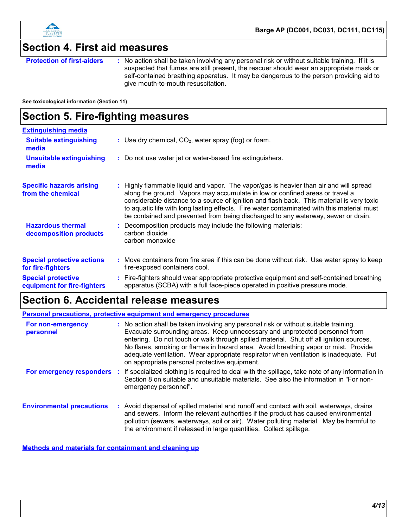

### **Section 4. First aid measures**

**Protection of first-aiders** : No action shall be taken involving any personal risk or without suitable training. If it is suspected that fumes are still present, the rescuer should wear an appropriate mask or self-contained breathing apparatus. It may be dangerous to the person providing aid to give mouth-to-mouth resuscitation.

**See toxicological information (Section 11)**

### **Section 5. Fire-fighting measures**

| <b>Extinguishing media</b>                               |                                                                                                                                                                                                                                                                                                                                                                                                                                                        |
|----------------------------------------------------------|--------------------------------------------------------------------------------------------------------------------------------------------------------------------------------------------------------------------------------------------------------------------------------------------------------------------------------------------------------------------------------------------------------------------------------------------------------|
| <b>Suitable extinguishing</b><br>media                   | : Use dry chemical, $CO2$ , water spray (fog) or foam.                                                                                                                                                                                                                                                                                                                                                                                                 |
| <b>Unsuitable extinguishing</b><br>media                 | : Do not use water jet or water-based fire extinguishers.                                                                                                                                                                                                                                                                                                                                                                                              |
| <b>Specific hazards arising</b><br>from the chemical     | : Highly flammable liquid and vapor. The vapor/gas is heavier than air and will spread<br>along the ground. Vapors may accumulate in low or confined areas or travel a<br>considerable distance to a source of ignition and flash back. This material is very toxic<br>to aquatic life with long lasting effects. Fire water contaminated with this material must<br>be contained and prevented from being discharged to any waterway, sewer or drain. |
| <b>Hazardous thermal</b><br>decomposition products       | Decomposition products may include the following materials:<br>carbon dioxide<br>carbon monoxide                                                                                                                                                                                                                                                                                                                                                       |
| <b>Special protective actions</b><br>for fire-fighters   | : Move containers from fire area if this can be done without risk. Use water spray to keep<br>fire-exposed containers cool.                                                                                                                                                                                                                                                                                                                            |
| <b>Special protective</b><br>equipment for fire-fighters | : Fire-fighters should wear appropriate protective equipment and self-contained breathing<br>apparatus (SCBA) with a full face-piece operated in positive pressure mode.                                                                                                                                                                                                                                                                               |

### **Section 6. Accidental release measures**

| <b>Personal precautions, protective equipment and emergency procedures</b> |  |                                                                                                                                                                                                                                                                                                                                                                                                                                                                                                 |  |
|----------------------------------------------------------------------------|--|-------------------------------------------------------------------------------------------------------------------------------------------------------------------------------------------------------------------------------------------------------------------------------------------------------------------------------------------------------------------------------------------------------------------------------------------------------------------------------------------------|--|
| For non-emergency<br>personnel                                             |  | : No action shall be taken involving any personal risk or without suitable training.<br>Evacuate surrounding areas. Keep unnecessary and unprotected personnel from<br>entering. Do not touch or walk through spilled material. Shut off all ignition sources.<br>No flares, smoking or flames in hazard area. Avoid breathing vapor or mist. Provide<br>adequate ventilation. Wear appropriate respirator when ventilation is inadequate. Put<br>on appropriate personal protective equipment. |  |
| For emergency responders                                                   |  | If specialized clothing is required to deal with the spillage, take note of any information in<br>Section 8 on suitable and unsuitable materials. See also the information in "For non-<br>emergency personnel".                                                                                                                                                                                                                                                                                |  |
| <b>Environmental precautions</b>                                           |  | : Avoid dispersal of spilled material and runoff and contact with soil, waterways, drains<br>and sewers. Inform the relevant authorities if the product has caused environmental<br>pollution (sewers, waterways, soil or air). Water polluting material. May be harmful to<br>the environment if released in large quantities. Collect spillage.                                                                                                                                               |  |

**Methods and materials for containment and cleaning up**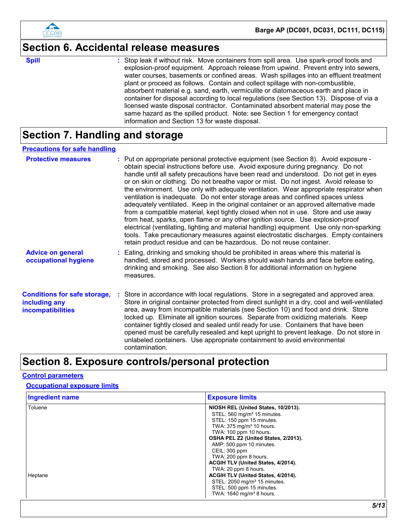

### **Section 6. Accidental release measures**

**Spill** Stop leak if without risk. Move containers from spill area. Use spark-proof tools and **Spill** explosion-proof equipment. Approach release from upwind. Prevent entry into sewers, water courses, basements or confined areas. Wash spillages into an effluent treatment plant or proceed as follows. Contain and collect spillage with non-combustible, absorbent material e.g. sand, earth, vermiculite or diatomaceous earth and place in container for disposal according to local regulations (see Section 13). Dispose of via a licensed waste disposal contractor. Contaminated absorbent material may pose the same hazard as the spilled product. Note: see Section 1 for emergency contact information and Section 13 for waste disposal.

## **Section 7. Handling and storage**

#### **Precautions for safe handling**

| <b>Protective measures</b>                                                       | : Put on appropriate personal protective equipment (see Section 8). Avoid exposure -<br>obtain special instructions before use. Avoid exposure during pregnancy. Do not<br>handle until all safety precautions have been read and understood. Do not get in eyes<br>or on skin or clothing. Do not breathe vapor or mist. Do not ingest. Avoid release to<br>the environment. Use only with adequate ventilation. Wear appropriate respirator when<br>ventilation is inadequate. Do not enter storage areas and confined spaces unless<br>adequately ventilated. Keep in the original container or an approved alternative made<br>from a compatible material, kept tightly closed when not in use. Store and use away<br>from heat, sparks, open flame or any other ignition source. Use explosion-proof<br>electrical (ventilating, lighting and material handling) equipment. Use only non-sparking<br>tools. Take precautionary measures against electrostatic discharges. Empty containers<br>retain product residue and can be hazardous. Do not reuse container. |
|----------------------------------------------------------------------------------|-------------------------------------------------------------------------------------------------------------------------------------------------------------------------------------------------------------------------------------------------------------------------------------------------------------------------------------------------------------------------------------------------------------------------------------------------------------------------------------------------------------------------------------------------------------------------------------------------------------------------------------------------------------------------------------------------------------------------------------------------------------------------------------------------------------------------------------------------------------------------------------------------------------------------------------------------------------------------------------------------------------------------------------------------------------------------|
| <b>Advice on general</b><br>occupational hygiene                                 | : Eating, drinking and smoking should be prohibited in areas where this material is<br>handled, stored and processed. Workers should wash hands and face before eating,<br>drinking and smoking. See also Section 8 for additional information on hygiene<br>measures.                                                                                                                                                                                                                                                                                                                                                                                                                                                                                                                                                                                                                                                                                                                                                                                                  |
| <b>Conditions for safe storage,</b><br>including any<br><b>incompatibilities</b> | : Store in accordance with local regulations. Store in a segregated and approved area.<br>Store in original container protected from direct sunlight in a dry, cool and well-ventilated<br>area, away from incompatible materials (see Section 10) and food and drink. Store<br>locked up. Eliminate all ignition sources. Separate from oxidizing materials. Keep<br>container tightly closed and sealed until ready for use. Containers that have been<br>opened must be carefully resealed and kept upright to prevent leakage. Do not store in<br>unlabeled containers. Use appropriate containment to avoid environmental<br>contamination.                                                                                                                                                                                                                                                                                                                                                                                                                        |

### **Section 8. Exposure controls/personal protection**

#### **Control parameters**

#### **Occupational exposure limits**

| <b>Ingredient name</b> | <b>Exposure limits</b>                                                                                                                                                                                                                                                                                                          |
|------------------------|---------------------------------------------------------------------------------------------------------------------------------------------------------------------------------------------------------------------------------------------------------------------------------------------------------------------------------|
| Toluene                | NIOSH REL (United States, 10/2013).<br>STEL: 560 mg/m <sup>3</sup> 15 minutes.<br>STEL: 150 ppm 15 minutes.<br>TWA: 375 mg/m <sup>3</sup> 10 hours.<br>TWA: 100 ppm 10 hours.                                                                                                                                                   |
| Heptane                | OSHA PEL Z2 (United States, 2/2013).<br>AMP: 500 ppm 10 minutes.<br>CEIL: 300 ppm<br>TWA: 200 ppm 8 hours.<br>ACGIH TLV (United States, 4/2014).<br>TWA: 20 ppm 8 hours.<br>ACGIH TLV (United States, 4/2014).<br>STEL: 2050 mg/m <sup>3</sup> 15 minutes.<br>STEL: 500 ppm 15 minutes.<br>TWA: 1640 mg/m <sup>3</sup> 8 hours. |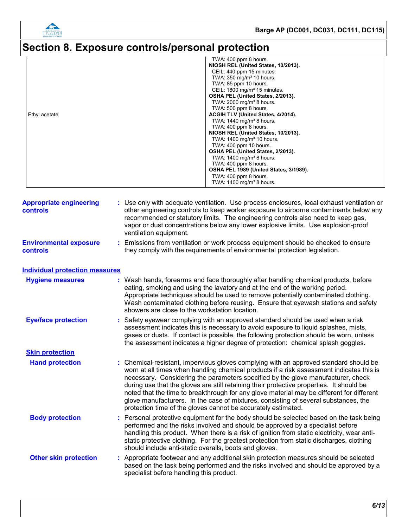

# **Section 8. Exposure controls/personal protection**

|               | TWA: 400 ppm 8 hours.                    |
|---------------|------------------------------------------|
|               | NIOSH REL (United States, 10/2013).      |
|               | CEIL: 440 ppm 15 minutes.                |
|               | TWA: $350 \text{ mg/m}^3$ 10 hours.      |
|               | TWA: 85 ppm 10 hours.                    |
|               | CEIL: 1800 mg/m <sup>3</sup> 15 minutes. |
|               | OSHA PEL (United States, 2/2013).        |
|               | TWA: 2000 mg/m <sup>3</sup> 8 hours.     |
|               | TWA: 500 ppm 8 hours.                    |
| Ethyl acetate | ACGIH TLV (United States, 4/2014).       |
|               | TWA: $1440$ mg/m <sup>3</sup> 8 hours.   |
|               | TWA: 400 ppm 8 hours.                    |
|               | NIOSH REL (United States, 10/2013).      |
|               | TWA: 1400 mg/m <sup>3</sup> 10 hours.    |
|               | TWA: 400 ppm 10 hours.                   |
|               | OSHA PEL (United States, 2/2013).        |
|               | TWA: $1400$ mg/m <sup>3</sup> 8 hours.   |
|               | TWA: 400 ppm 8 hours.                    |
|               | OSHA PEL 1989 (United States, 3/1989).   |
|               | TWA: 400 ppm 8 hours.                    |
|               | TWA: 1400 mg/m <sup>3</sup> 8 hours.     |

| <b>Appropriate engineering</b><br><b>controls</b> | : Use only with adequate ventilation. Use process enclosures, local exhaust ventilation or<br>other engineering controls to keep worker exposure to airborne contaminants below any<br>recommended or statutory limits. The engineering controls also need to keep gas,<br>vapor or dust concentrations below any lower explosive limits. Use explosion-proof<br>ventilation equipment.                                                                                                                                                                                                                                |
|---------------------------------------------------|------------------------------------------------------------------------------------------------------------------------------------------------------------------------------------------------------------------------------------------------------------------------------------------------------------------------------------------------------------------------------------------------------------------------------------------------------------------------------------------------------------------------------------------------------------------------------------------------------------------------|
| <b>Environmental exposure</b><br>controls         | : Emissions from ventilation or work process equipment should be checked to ensure<br>they comply with the requirements of environmental protection legislation.                                                                                                                                                                                                                                                                                                                                                                                                                                                       |
| <b>Individual protection measures</b>             |                                                                                                                                                                                                                                                                                                                                                                                                                                                                                                                                                                                                                        |
| <b>Hygiene measures</b>                           | : Wash hands, forearms and face thoroughly after handling chemical products, before<br>eating, smoking and using the lavatory and at the end of the working period.<br>Appropriate techniques should be used to remove potentially contaminated clothing.<br>Wash contaminated clothing before reusing. Ensure that eyewash stations and safety<br>showers are close to the workstation location.                                                                                                                                                                                                                      |
| <b>Eye/face protection</b>                        | : Safety eyewear complying with an approved standard should be used when a risk<br>assessment indicates this is necessary to avoid exposure to liquid splashes, mists,<br>gases or dusts. If contact is possible, the following protection should be worn, unless<br>the assessment indicates a higher degree of protection: chemical splash goggles.                                                                                                                                                                                                                                                                  |
| <b>Skin protection</b>                            |                                                                                                                                                                                                                                                                                                                                                                                                                                                                                                                                                                                                                        |
| <b>Hand protection</b>                            | : Chemical-resistant, impervious gloves complying with an approved standard should be<br>worn at all times when handling chemical products if a risk assessment indicates this is<br>necessary. Considering the parameters specified by the glove manufacturer, check<br>during use that the gloves are still retaining their protective properties. It should be<br>noted that the time to breakthrough for any glove material may be different for different<br>glove manufacturers. In the case of mixtures, consisting of several substances, the<br>protection time of the gloves cannot be accurately estimated. |
| <b>Body protection</b>                            | : Personal protective equipment for the body should be selected based on the task being<br>performed and the risks involved and should be approved by a specialist before<br>handling this product. When there is a risk of ignition from static electricity, wear anti-<br>static protective clothing. For the greatest protection from static discharges, clothing<br>should include anti-static overalls, boots and gloves.                                                                                                                                                                                         |
| <b>Other skin protection</b>                      | : Appropriate footwear and any additional skin protection measures should be selected<br>based on the task being performed and the risks involved and should be approved by a<br>specialist before handling this product.                                                                                                                                                                                                                                                                                                                                                                                              |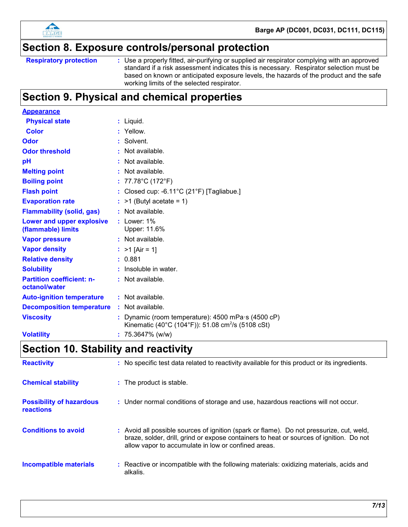

### **Section 8. Exposure controls/personal protection**

```
Respiratory protection :
```
Use a properly fitted, air-purifying or supplied air respirator complying with an approved standard if a risk assessment indicates this is necessary. Respirator selection must be based on known or anticipated exposure levels, the hazards of the product and the safe working limits of the selected respirator.

# **Section 9. Physical and chemical properties**

| <b>Appearance</b>                                 |    |                                                                                                                               |
|---------------------------------------------------|----|-------------------------------------------------------------------------------------------------------------------------------|
| <b>Physical state</b>                             |    | : Liquid.                                                                                                                     |
| <b>Color</b>                                      |    | : Yellow.                                                                                                                     |
| Odor                                              |    | : Solvent.                                                                                                                    |
| <b>Odor threshold</b>                             |    | : Not available.                                                                                                              |
| pH                                                | t. | Not available.                                                                                                                |
| <b>Melting point</b>                              |    | : Not available.                                                                                                              |
| <b>Boiling point</b>                              |    | : $77.78^{\circ}$ C (172 $^{\circ}$ F)                                                                                        |
| <b>Flash point</b>                                |    | : Closed cup: -6.11 $^{\circ}$ C (21 $^{\circ}$ F) [Tagliabue.]                                                               |
| <b>Evaporation rate</b>                           |    | $:$ >1 (Butyl acetate = 1)                                                                                                    |
| <b>Flammability (solid, gas)</b>                  |    | : Not available.                                                                                                              |
| Lower and upper explosive<br>(flammable) limits   |    | $:$ Lower: $1\%$<br>Upper: 11.6%                                                                                              |
| <b>Vapor pressure</b>                             |    | : Not available.                                                                                                              |
| <b>Vapor density</b>                              |    | : $>1$ [Air = 1]                                                                                                              |
| <b>Relative density</b>                           |    | : 0.881                                                                                                                       |
| <b>Solubility</b>                                 |    | $:$ Insoluble in water.                                                                                                       |
| <b>Partition coefficient: n-</b><br>octanol/water |    | : Not available.                                                                                                              |
| <b>Auto-ignition temperature</b>                  |    | : Not available.                                                                                                              |
| <b>Decomposition temperature</b>                  |    | $:$ Not available.                                                                                                            |
| <b>Viscosity</b>                                  |    | : Dynamic (room temperature): $4500$ mPa $\cdot$ s (4500 cP)<br>Kinematic (40°C (104°F)): 51.08 cm <sup>2</sup> /s (5108 cSt) |
| <b>Volatility</b>                                 |    | $: 75.3647\%$ (w/w)                                                                                                           |

# **Section 10. Stability and reactivity**

| <b>Reactivity</b>                                   | : No specific test data related to reactivity available for this product or its ingredients.                                                                                                                                               |
|-----------------------------------------------------|--------------------------------------------------------------------------------------------------------------------------------------------------------------------------------------------------------------------------------------------|
| <b>Chemical stability</b>                           | : The product is stable.                                                                                                                                                                                                                   |
| <b>Possibility of hazardous</b><br><b>reactions</b> | : Under normal conditions of storage and use, hazardous reactions will not occur.                                                                                                                                                          |
| <b>Conditions to avoid</b>                          | : Avoid all possible sources of ignition (spark or flame). Do not pressurize, cut, weld,<br>braze, solder, drill, grind or expose containers to heat or sources of ignition. Do not<br>allow vapor to accumulate in low or confined areas. |
| Incompatible materials                              | : Reactive or incompatible with the following materials: oxidizing materials, acids and<br>alkalis.                                                                                                                                        |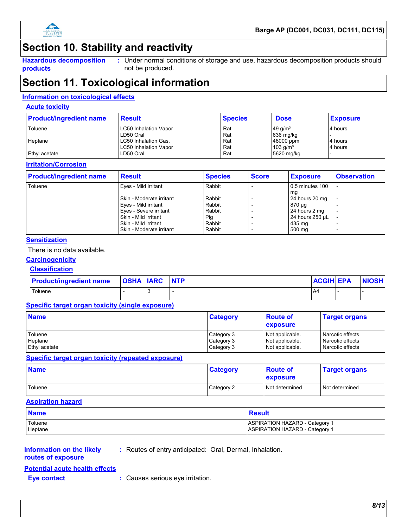

### **Section 10. Stability and reactivity**

**Hazardous decomposition products**

Under normal conditions of storage and use, hazardous decomposition products should **:** not be produced.

### **Section 11. Toxicological information**

#### **Information on toxicological effects**

#### **Acute toxicity**

| <b>Product/ingredient name</b> | <b>Result</b>                | <b>Species</b> | <b>Dose</b>            | <b>Exposure</b> |
|--------------------------------|------------------------------|----------------|------------------------|-----------------|
| Toluene                        | <b>LC50 Inhalation Vapor</b> | Rat            | $49$ g/m <sup>3</sup>  | 4 hours         |
|                                | LD50 Oral                    | Rat            | 636 mg/kg              |                 |
| Heptane                        | LC50 Inhalation Gas.         | Rat            | 48000 ppm              | 4 hours         |
|                                | <b>LC50 Inhalation Vapor</b> | Rat            | $103$ g/m <sup>3</sup> | 4 hours         |
| Ethyl acetate                  | LD50 Oral                    | Rat            | 5620 mg/kg             |                 |

#### **Irritation/Corrosion**

| <b>Product/ingredient name</b> | <b>Result</b>            | <b>Species</b> | <b>Score</b> | <b>Exposure</b> | <b>Observation</b>       |
|--------------------------------|--------------------------|----------------|--------------|-----------------|--------------------------|
| Toluene                        | Eyes - Mild irritant     | Rabbit         |              | 0.5 minutes 100 |                          |
|                                |                          |                |              | ma              |                          |
|                                | Skin - Moderate irritant | Rabbit         |              | 24 hours 20 mg  |                          |
|                                | Eyes - Mild irritant     | Rabbit         |              | 870 µg          |                          |
|                                | Eyes - Severe irritant   | Rabbit         |              | 24 hours 2 mg   | $\overline{\phantom{0}}$ |
|                                | Skin - Mild irritant     | Pig            |              | 24 hours 250 µL |                          |
|                                | Skin - Mild irritant     | Rabbit         |              | 435 mg          |                          |
|                                | Skin - Moderate irritant | Rabbit         |              | 500 mg          |                          |

#### **Sensitization**

There is no data available.

#### **Carcinogenicity**

#### **Classification**

| <b>Product/ingredient name</b> | <b>OSHA IARC</b> | <b>NTP</b> | <b>ACGIH EPA</b> | <b>NIOSH</b> |
|--------------------------------|------------------|------------|------------------|--------------|
| Toluene                        |                  |            | A4               |              |

#### **Specific target organ toxicity (single exposure)**

| <b>Name</b>   | <b>Category</b> | <b>Route of</b><br><b>exposure</b> | <b>Target organs</b> |
|---------------|-----------------|------------------------------------|----------------------|
| Toluene       | Category 3      | Not applicable.                    | Narcotic effects     |
| Heptane       | Category 3      | Not applicable.                    | Narcotic effects     |
| Ethyl acetate | Category 3      | Not applicable.                    | Narcotic effects     |

#### **Specific target organ toxicity (repeated exposure)**

| <b>Name</b> | <b>Category</b> | <b>Route of</b><br>exposure | <b>Target organs</b> |
|-------------|-----------------|-----------------------------|----------------------|
| Toluene     | Category 2      | Not determined              | Not determined       |

#### **Aspiration hazard**

| <b>Name</b> | Result                         |
|-------------|--------------------------------|
| Toluene     | ASPIRATION HAZARD - Category 1 |
| Heptane     | ASPIRATION HAZARD - Category 1 |

#### **Information on the likely routes of exposure**

**:** Routes of entry anticipated: Oral, Dermal, Inhalation.

#### **Potential acute health effects**

**Eye contact :** Causes serious eye irritation.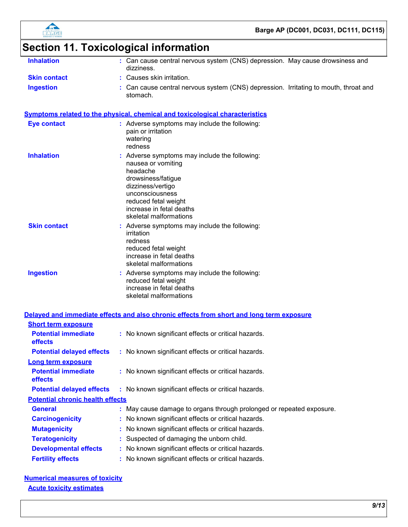



# **Section 11. Toxicological information**

| <b>Inhalation</b>          | : Can cause central nervous system (CNS) depression. May cause drowsiness and<br>dizziness.                                                                                                                                 |
|----------------------------|-----------------------------------------------------------------------------------------------------------------------------------------------------------------------------------------------------------------------------|
| <b>Skin contact</b>        | : Causes skin irritation.                                                                                                                                                                                                   |
| <b>Ingestion</b>           | : Can cause central nervous system (CNS) depression. Irritating to mouth, throat and<br>stomach.                                                                                                                            |
|                            | Symptoms related to the physical, chemical and toxicological characteristics                                                                                                                                                |
| <b>Eye contact</b>         | : Adverse symptoms may include the following:<br>pain or irritation<br>watering<br>redness                                                                                                                                  |
| <b>Inhalation</b>          | : Adverse symptoms may include the following:<br>nausea or vomiting<br>headache<br>drowsiness/fatigue<br>dizziness/vertigo<br>unconsciousness<br>reduced fetal weight<br>increase in fetal deaths<br>skeletal malformations |
| <b>Skin contact</b>        | : Adverse symptoms may include the following:<br>irritation<br>redness<br>reduced fetal weight<br>increase in fetal deaths<br>skeletal malformations                                                                        |
| <b>Ingestion</b>           | : Adverse symptoms may include the following:<br>reduced fetal weight<br>increase in fetal deaths<br>skeletal malformations                                                                                                 |
|                            | Delayed and immediate effects and also chronic effects from short and long term exposure                                                                                                                                    |
| <b>Short term exposure</b> |                                                                                                                                                                                                                             |
|                            |                                                                                                                                                                                                                             |

| <b>Potential immediate</b><br><b>effects</b> | : No known significant effects or critical hazards.                  |
|----------------------------------------------|----------------------------------------------------------------------|
| <b>Potential delayed effects</b>             | : No known significant effects or critical hazards.                  |
| Long term exposure                           |                                                                      |
| <b>Potential immediate</b><br><b>effects</b> | : No known significant effects or critical hazards.                  |
| <b>Potential delayed effects</b>             | : No known significant effects or critical hazards.                  |
| <b>Potential chronic health effects</b>      |                                                                      |
| <b>General</b>                               | : May cause damage to organs through prolonged or repeated exposure. |
| <b>Carcinogenicity</b>                       | : No known significant effects or critical hazards.                  |
| <b>Mutagenicity</b>                          | : No known significant effects or critical hazards.                  |
| <b>Teratogenicity</b>                        | : Suspected of damaging the unborn child.                            |
| <b>Developmental effects</b>                 | : No known significant effects or critical hazards.                  |
| <b>Fertility effects</b>                     | : No known significant effects or critical hazards.                  |

#### **Numerical measures of toxicity Acute toxicity estimates**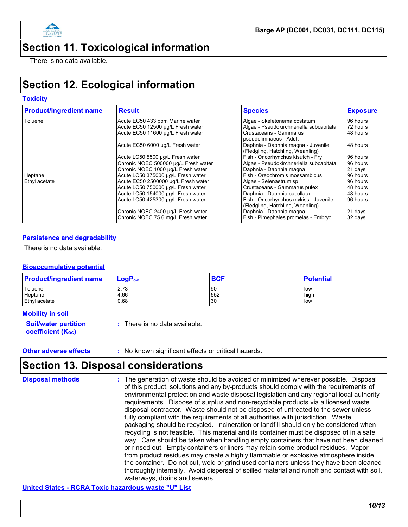

# **Section 11. Toxicological information**

There is no data available.

# **Section 12. Ecological information**

#### **Toxicity**

| <b>Product/ingredient name</b> | <b>Result</b>                        | <b>Species</b>                                                            | <b>Exposure</b> |
|--------------------------------|--------------------------------------|---------------------------------------------------------------------------|-----------------|
| Toluene                        | Acute EC50 433 ppm Marine water      | Algae - Skeletonema costatum                                              | 96 hours        |
|                                | Acute EC50 12500 µg/L Fresh water    | Algae - Pseudokirchneriella subcapitata                                   | 72 hours        |
|                                | Acute EC50 11600 µg/L Fresh water    | Crustaceans - Gammarus<br>pseudolimnaeus - Adult                          | 48 hours        |
|                                | Acute EC50 6000 µg/L Fresh water     | Daphnia - Daphnia magna - Juvenile<br>(Fledgling, Hatchling, Weanling)    | 48 hours        |
|                                | Acute LC50 5500 µg/L Fresh water     | Fish - Oncorhynchus kisutch - Fry                                         | 96 hours        |
|                                | Chronic NOEC 500000 µg/L Fresh water | Algae - Pseudokirchneriella subcapitata                                   | 96 hours        |
|                                | Chronic NOEC 1000 µg/L Fresh water   | Daphnia - Daphnia magna                                                   | 21 days         |
| Heptane                        | Acute LC50 375000 µg/L Fresh water   | l Fish - Oreochromis mossambicus                                          | 96 hours        |
| Ethyl acetate                  | Acute EC50 2500000 µg/L Fresh water  | Algae - Selenastrum sp.                                                   | 96 hours        |
|                                | Acute LC50 750000 µg/L Fresh water   | Crustaceans - Gammarus pulex                                              | 48 hours        |
|                                | Acute LC50 154000 µg/L Fresh water   | Daphnia - Daphnia cucullata                                               | 48 hours        |
|                                | Acute LC50 425300 µg/L Fresh water   | Fish - Oncorhynchus mykiss - Juvenile<br>(Fledgling, Hatchling, Weanling) | 96 hours        |
|                                | Chronic NOEC 2400 µg/L Fresh water   | Daphnia - Daphnia magna                                                   | 21 days         |
|                                | Chronic NOEC 75.6 mg/L Fresh water   | Fish - Pimephales promelas - Embryo                                       | 32 days         |

#### **Persistence and degradability**

There is no data available.

#### **Bioaccumulative potential**

| <b>Product/ingredient name</b> | $LogP_{ow}$ | <b>BCF</b> | <b>Potential</b> |
|--------------------------------|-------------|------------|------------------|
| Toluene                        | 2.73        | 90         | low              |
| Heptane                        | 4.66        | 552        | high             |
| Ethyl acetate                  | 0.68        | 30         | , low            |

#### **Mobility in soil**

| <b>Soil/water partition</b> | : There is no data available. |
|-----------------------------|-------------------------------|
| <b>coefficient (Koc)</b>    |                               |

#### **Other adverse effects** : No known significant effects or critical hazards.

# **Section 13. Disposal considerations**

| <b>Disposal methods</b> | : The generation of waste should be avoided or minimized wherever possible. Disposal<br>of this product, solutions and any by-products should comply with the requirements of<br>environmental protection and waste disposal legislation and any regional local authority<br>requirements. Dispose of surplus and non-recyclable products via a licensed waste<br>disposal contractor. Waste should not be disposed of untreated to the sewer unless<br>fully compliant with the requirements of all authorities with jurisdiction. Waste<br>packaging should be recycled. Incineration or landfill should only be considered when<br>recycling is not feasible. This material and its container must be disposed of in a safe<br>way. Care should be taken when handling empty containers that have not been cleaned<br>or rinsed out. Empty containers or liners may retain some product residues. Vapor<br>from product residues may create a highly flammable or explosive atmosphere inside<br>the container. Do not cut, weld or grind used containers unless they have been cleaned<br>thoroughly internally. Avoid dispersal of spilled material and runoff and contact with soil, |
|-------------------------|--------------------------------------------------------------------------------------------------------------------------------------------------------------------------------------------------------------------------------------------------------------------------------------------------------------------------------------------------------------------------------------------------------------------------------------------------------------------------------------------------------------------------------------------------------------------------------------------------------------------------------------------------------------------------------------------------------------------------------------------------------------------------------------------------------------------------------------------------------------------------------------------------------------------------------------------------------------------------------------------------------------------------------------------------------------------------------------------------------------------------------------------------------------------------------------------|
|                         | waterways, drains and sewers.                                                                                                                                                                                                                                                                                                                                                                                                                                                                                                                                                                                                                                                                                                                                                                                                                                                                                                                                                                                                                                                                                                                                                              |

**United States - RCRA Toxic hazardous waste "U" List**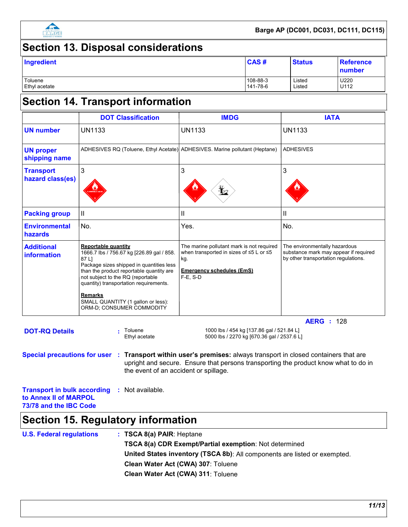

## **Section 13. Disposal considerations**

| Ingredient           | CAS#     | <b>Status</b> | <b>Reference</b><br>number |
|----------------------|----------|---------------|----------------------------|
| Toluene              | 108-88-3 | Listed        | U220                       |
| <b>Ethyl acetate</b> | 141-78-6 | Listed        | U112                       |

### **Section 14. Transport information**

|                                      | <b>DOT Classification</b>                                                                                                                                                                                                                                                                                                                    | <b>IMDG</b>                                                                                                                                                | <b>IATA</b>                                                                                                    |  |
|--------------------------------------|----------------------------------------------------------------------------------------------------------------------------------------------------------------------------------------------------------------------------------------------------------------------------------------------------------------------------------------------|------------------------------------------------------------------------------------------------------------------------------------------------------------|----------------------------------------------------------------------------------------------------------------|--|
| <b>UN number</b>                     | <b>UN1133</b>                                                                                                                                                                                                                                                                                                                                | <b>UN1133</b>                                                                                                                                              | <b>UN1133</b>                                                                                                  |  |
| <b>UN proper</b><br>shipping name    |                                                                                                                                                                                                                                                                                                                                              | ADHESIVES RQ (Toluene, Ethyl Acetate) ADHESIVES. Marine pollutant (Heptane)                                                                                | <b>ADHESIVES</b>                                                                                               |  |
| <b>Transport</b><br>hazard class(es) | 3                                                                                                                                                                                                                                                                                                                                            | 3                                                                                                                                                          | 3                                                                                                              |  |
| <b>Packing group</b>                 | Ш                                                                                                                                                                                                                                                                                                                                            | Ш                                                                                                                                                          | Ш                                                                                                              |  |
| <b>Environmental</b><br>hazards      | No.                                                                                                                                                                                                                                                                                                                                          | Yes.                                                                                                                                                       | No.                                                                                                            |  |
| <b>Additional</b><br>information     | <b>Reportable quantity</b><br>1666.7 lbs / 756.67 kg [226.89 gal / 858.<br>87 L1<br>Package sizes shipped in quantities less<br>than the product reportable quantity are<br>not subject to the RQ (reportable<br>quantity) transportation requirements.<br><b>Remarks</b><br>SMALL QUANTITY (1 gallon or less):<br>ORM-D; CONSUMER COMMODITY | The marine pollutant mark is not required<br>when transported in sizes of $\leq$ 5 L or $\leq$ 5<br>kg.<br><b>Emergency schedules (EmS)</b><br>$F-E$ , S-D | The environmentally hazardous<br>substance mark may appear if required<br>by other transportation regulations. |  |
|                                      |                                                                                                                                                                                                                                                                                                                                              |                                                                                                                                                            | <b>AERG</b> : 128                                                                                              |  |
| <b>DOT-RQ Details</b>                | Toluene<br>Ethyl acetate                                                                                                                                                                                                                                                                                                                     | 1000 lbs / 454 kg [137.86 gal / 521.84 L]<br>5000 lbs / 2270 kg [670.36 gal / 2537.6 L]                                                                    |                                                                                                                |  |

5000 lbs / 2270 kg [670.36 gal / 2537.6 L]

**Special precautions for user Transport within user's premises:** always transport in closed containers that are **:** upright and secure. Ensure that persons transporting the product know what to do in the event of an accident or spillage.

**Transport in bulk according :** Not available. **to Annex II of MARPOL 73/78 and the IBC Code**

### **Section 15. Regulatory information**

| <b>U.S. Federal regulations</b> | : TSCA 8(a) PAIR: Heptane                                                 |
|---------------------------------|---------------------------------------------------------------------------|
|                                 | <b>TSCA 8(a) CDR Exempt/Partial exemption: Not determined</b>             |
|                                 | United States inventory (TSCA 8b): All components are listed or exempted. |
|                                 | Clean Water Act (CWA) 307: Toluene                                        |
|                                 | Clean Water Act (CWA) 311: Toluene                                        |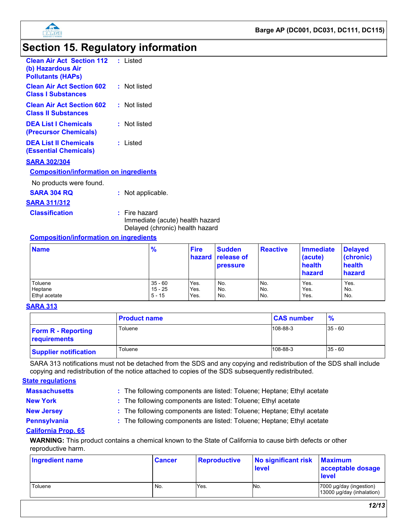

# **Section 15. Regulatory information**

| <b>Clean Air Act Section 112</b> : Listed<br>(b) Hazardous Air<br><b>Pollutants (HAPs)</b> |                 |
|--------------------------------------------------------------------------------------------|-----------------|
| <b>Clean Air Act Section 602</b><br><b>Class I Substances</b>                              | : Not listed    |
| <b>Clean Air Act Section 602</b><br><b>Class II Substances</b>                             | : Not listed    |
| <b>DEA List I Chemicals</b><br>(Precursor Chemicals)                                       | : Not listed    |
| <b>DEA List II Chemicals</b><br>(Essential Chemicals)                                      | : Listed        |
| <b>SARA 302/304</b>                                                                        |                 |
| <b>Composition/information on ingredients</b>                                              |                 |
| No products were found.                                                                    |                 |
| <b>SARA 304 RQ</b>                                                                         | Not applicable. |
| <b>SARA 311/312</b>                                                                        |                 |
| <b>Classification</b>                                                                      | $:$ Fire hazard |

Immediate (acute) health hazard Delayed (chronic) health hazard

#### **Composition/information on ingredients**

| <b>Name</b>   | $\frac{9}{6}$ | <b>Fire</b> | <b>Sudden</b><br>hazard release of<br><b>pressure</b> | <b>Reactive</b> | <b>Immediate</b><br>(acute)<br>health<br><b>hazard</b> | <b>Delayed</b><br>(chronic)<br>health<br>hazard |
|---------------|---------------|-------------|-------------------------------------------------------|-----------------|--------------------------------------------------------|-------------------------------------------------|
| Toluene       | $35 - 60$     | Yes.        | No.                                                   | No.             | Yes.                                                   | Yes.                                            |
| Heptane       | 15 - 25       | Yes.        | No.                                                   | No.             | Yes.                                                   | No.                                             |
| Ethyl acetate | $5 - 15$      | Yes.        | No.                                                   | No.             | Yes.                                                   | No.                                             |

#### **SARA 313**

|                                           | <b>Product name</b> | <b>CAS number</b> |           |
|-------------------------------------------|---------------------|-------------------|-----------|
| <b>Form R - Reporting</b><br>requirements | Toluene             | 108-88-3          | $35 - 60$ |
| <b>Supplier notification</b>              | Toluene             | 108-88-3          | $35 - 60$ |

SARA 313 notifications must not be detached from the SDS and any copying and redistribution of the SDS shall include copying and redistribution of the notice attached to copies of the SDS subsequently redistributed.

#### **State regulations**

**Massachusetts :**

The following components are listed: Toluene; Heptane; Ethyl acetate

- 
- **New York included:** The following components are listed: Toluene; Ethyl acetate **New Jersey :** The following components are listed: Toluene; Heptane; Ethyl acetate
- 
- **Pennsylvania :** The following components are listed: Toluene; Heptane; Ethyl acetate

#### **California Prop. 65**

**WARNING:** This product contains a chemical known to the State of California to cause birth defects or other reproductive harm.

| <b>Ingredient name</b> | <b>Cancer</b> | <b>Reproductive</b> | No significant risk<br>level | <b>Maximum</b><br>acceptable dosage<br><b>level</b>  |
|------------------------|---------------|---------------------|------------------------------|------------------------------------------------------|
| Toluene                | No.           | Yes.                | No.                          | 7000 µg/day (ingestion)<br>13000 µg/day (inhalation) |